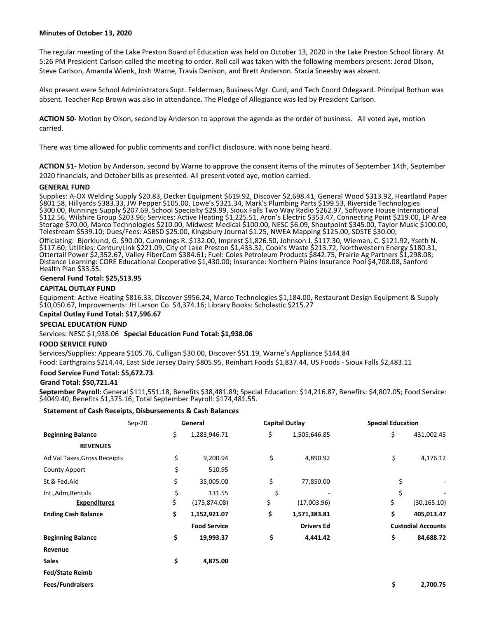## **Minutes of October 13, 2020**

The regular meeting of the Lake Preston Board of Education was held on October 13, 2020 in the Lake Preston School library. At 5:26 PM President Carlson called the meeting to order. Roll call was taken with the following members present: Jerod Olson, Steve Carlson, Amanda Wienk, Josh Warne, Travis Denison, and Brett Anderson. Stacia Sneesby was absent.

Also present were School Administrators Supt. Felderman, Business Mgr. Curd, and Tech Coord Odegaard. Principal Bothun was absent. Teacher Rep Brown was also in attendance. The Pledge of Allegiance was led by President Carlson.

**ACTION 50-** Motion by Olson, second by Anderson to approve the agenda as the order of business. All voted aye, motion carried.

There was time allowed for public comments and conflict disclosure, with none being heard.

**ACTION 51-** Motion by Anderson, second by Warne to approve the consent items of the minutes of September 14th, September 2020 financials, and October bills as presented. All present voted aye, motion carried.

## **GENERAL FUND**

Supplies: A-OX Welding Supply \$20.83, Decker Equipment \$619.92, Discover \$2,698.41, General Wood \$313.92, Heartland Paper \$801.58, Hillyards \$383.33, JW Pepper \$105.00, Lowe's \$321.34, Mark's Plumbing Parts \$199.53, Riverside Technologies \$300.00, Runnings Supply \$207.69, School Specialty \$29.99, Sioux Falls Two Way Radio \$262.97, Software House International \$112.56, Wilshire Group \$203.96; Services: Active Heating \$1,225.51, Aron's Electric \$353.47, Connecting Point \$219.00, LP Area Storage \$70.00, Marco Technologies \$210.00, Midwest Medical \$100.00, NESC \$6.09, Shoutpoint \$345.00, Taylor Music \$100.00, Telestream \$539.10; Dues/Fees: ASBSD \$25.00, Kingsbury Journal \$1.25, NWEA Mapping \$125.00, SDSTE \$30.00;

Officiating: Bjorklund, G. \$90.00, Cummings R. \$132.00, Imprest \$1,826.50, Johnson J. \$117.30, Wieman, C. \$121.92, Yseth N. \$117.60; Utilities: CenturyLink \$221.09, City of Lake Preston \$1,433.32, Cook's Waste \$213.72, Northwestern Energy \$180.31, Ottertail Power \$2,352.67, Valley FiberCom \$384.61; Fuel: Coles Petroleum Products \$842.75, Prairie Ag Partners \$1,298.08; Distance Learning: CORE Educational Cooperative \$1,430.00; Insurance: Northern Plains Insurance Pool \$4,708.08, Sanford Health Plan \$33.55.

## **General Fund Total: \$25,513.95**

## **CAPITAL OUTLAY FUND**

Equipment: Active Heating \$816.33, Discover \$956.24, Marco Technologies \$1,184.00, Restaurant Design Equipment & Supply \$10,050.67, Improvements: JH Larson Co. \$4,374.16; Library Books: Scholastic \$215.27

# **Capital Outlay Fund Total: \$17,596.67**

## **SPECIAL EDUCATION FUND**

Services: NESC \$1,938.06 **Special Education Fund Total: \$1,938.06**

#### **FOOD SERVICE FUND**

Services/Supplies: Appeara \$105.76, Culligan \$30.00, Discover \$51.19, Warne's Appliance \$144.84

Food: Earthgrains \$214.44, East Side Jersey Dairy \$805.95, Reinhart Foods \$1,837.44, US Foods - Sioux Falls \$2,483.11

## **Food Service Fund Total: \$5,672.73**

## **Grand Total: \$50,721.41**

**September Payroll:** General \$111,551.18, Benefits \$38,481.89; Special Education: \$14,216.87, Benefits: \$4,807.05; Food Service: \$4049.40, Benefits \$1,375.16; Total September Payroll: \$174,481.55.

## **Statement of Cash Receipts, Disbursements & Cash Balances**

|                              | $Sep-20$ | General |                     | <b>Capital Outlay</b> |                   | <b>Special Education</b>  |              |
|------------------------------|----------|---------|---------------------|-----------------------|-------------------|---------------------------|--------------|
| <b>Beginning Balance</b>     | \$       |         | 1,283,946.71        | \$                    | 1,505,646.85      | \$                        | 431,002.45   |
| <b>REVENUES</b>              |          |         |                     |                       |                   |                           |              |
| Ad Val Taxes, Gross Receipts |          | \$      | 9,200.94            | \$                    | 4,890.92          | \$                        | 4,176.12     |
| <b>County Apport</b>         |          | \$      | 510.95              |                       |                   |                           |              |
| St.& Fed.Aid                 |          | \$      | 35,005.00           | \$                    | 77,850.00         | \$                        |              |
| Int., Adm, Rentals           |          | \$      | 131.55              | \$                    |                   | \$                        |              |
| <b>Expenditures</b>          | \$       |         | (175, 874.08)       | \$                    | (17,003.96)       | \$                        | (30, 165.10) |
| <b>Ending Cash Balance</b>   | \$       |         | 1,152,921.07        | \$                    | 1,571,383.81      | \$                        | 405,013.47   |
|                              |          |         | <b>Food Service</b> |                       | <b>Drivers Ed</b> | <b>Custodial Accounts</b> |              |
| <b>Beginning Balance</b>     | \$       |         | 19,993.37           | \$                    | 4,441.42          | \$                        | 84,688.72    |
| Revenue                      |          |         |                     |                       |                   |                           |              |
| <b>Sales</b>                 |          | \$      | 4,875.00            |                       |                   |                           |              |
| <b>Fed/State Reimb</b>       |          |         |                     |                       |                   |                           |              |
|                              |          |         |                     |                       |                   |                           |              |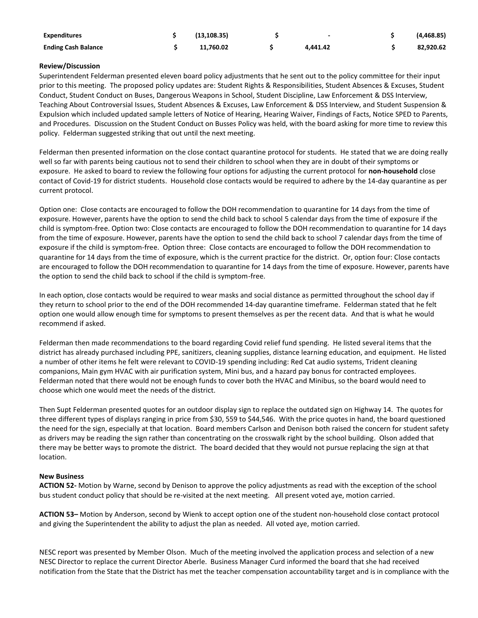| <b>Expenditures</b>        | (13.108.35) |          | (4,468.85) |
|----------------------------|-------------|----------|------------|
| <b>Ending Cash Balance</b> | 11.760.02   | 4.441.42 | 82,920.62  |

# **Review/Discussion**

Superintendent Felderman presented eleven board policy adjustments that he sent out to the policy committee for their input prior to this meeting. The proposed policy updates are: Student Rights & Responsibilities, Student Absences & Excuses, Student Conduct, Student Conduct on Buses, Dangerous Weapons in School, Student Discipline, Law Enforcement & DSS Interview, Teaching About Controversial Issues, Student Absences & Excuses, Law Enforcement & DSS Interview, and Student Suspension & Expulsion which included updated sample letters of Notice of Hearing, Hearing Waiver, Findings of Facts, Notice SPED to Parents, and Procedures. Discussion on the Student Conduct on Busses Policy was held, with the board asking for more time to review this policy. Felderman suggested striking that out until the next meeting.

Felderman then presented information on the close contact quarantine protocol for students. He stated that we are doing really well so far with parents being cautious not to send their children to school when they are in doubt of their symptoms or exposure. He asked to board to review the following four options for adjusting the current protocol for **non-household** close contact of Covid-19 for district students. Household close contacts would be required to adhere by the 14-day quarantine as per current protocol.

Option one: Close contacts are encouraged to follow the DOH recommendation to quarantine for 14 days from the time of exposure. However, parents have the option to send the child back to school 5 calendar days from the time of exposure if the child is symptom-free. Option two: Close contacts are encouraged to follow the DOH recommendation to quarantine for 14 days from the time of exposure. However, parents have the option to send the child back to school 7 calendar days from the time of exposure if the child is symptom-free. Option three: Close contacts are encouraged to follow the DOH recommendation to quarantine for 14 days from the time of exposure, which is the current practice for the district. Or, option four: Close contacts are encouraged to follow the DOH recommendation to quarantine for 14 days from the time of exposure. However, parents have the option to send the child back to school if the child is symptom-free.

In each option, close contacts would be required to wear masks and social distance as permitted throughout the school day if they return to school prior to the end of the DOH recommended 14-day quarantine timeframe. Felderman stated that he felt option one would allow enough time for symptoms to present themselves as per the recent data. And that is what he would recommend if asked.

Felderman then made recommendations to the board regarding Covid relief fund spending. He listed several items that the district has already purchased including PPE, sanitizers, cleaning supplies, distance learning education, and equipment. He listed a number of other items he felt were relevant to COVID-19 spending including: Red Cat audio systems, Trident cleaning companions, Main gym HVAC with air purification system, Mini bus, and a hazard pay bonus for contracted employees. Felderman noted that there would not be enough funds to cover both the HVAC and Minibus, so the board would need to choose which one would meet the needs of the district.

Then Supt Felderman presented quotes for an outdoor display sign to replace the outdated sign on Highway 14. The quotes for three different types of displays ranging in price from \$30, 559 to \$44,546. With the price quotes in hand, the board questioned the need for the sign, especially at that location. Board members Carlson and Denison both raised the concern for student safety as drivers may be reading the sign rather than concentrating on the crosswalk right by the school building. Olson added that there may be better ways to promote the district. The board decided that they would not pursue replacing the sign at that location.

# **New Business**

**ACTION 52-** Motion by Warne, second by Denison to approve the policy adjustments as read with the exception of the school bus student conduct policy that should be re-visited at the next meeting. All present voted aye, motion carried.

**ACTION 53–** Motion by Anderson, second by Wienk to accept option one of the student non-household close contact protocol and giving the Superintendent the ability to adjust the plan as needed. All voted aye, motion carried.

NESC report was presented by Member Olson. Much of the meeting involved the application process and selection of a new NESC Director to replace the current Director Aberle. Business Manager Curd informed the board that she had received notification from the State that the District has met the teacher compensation accountability target and is in compliance with the